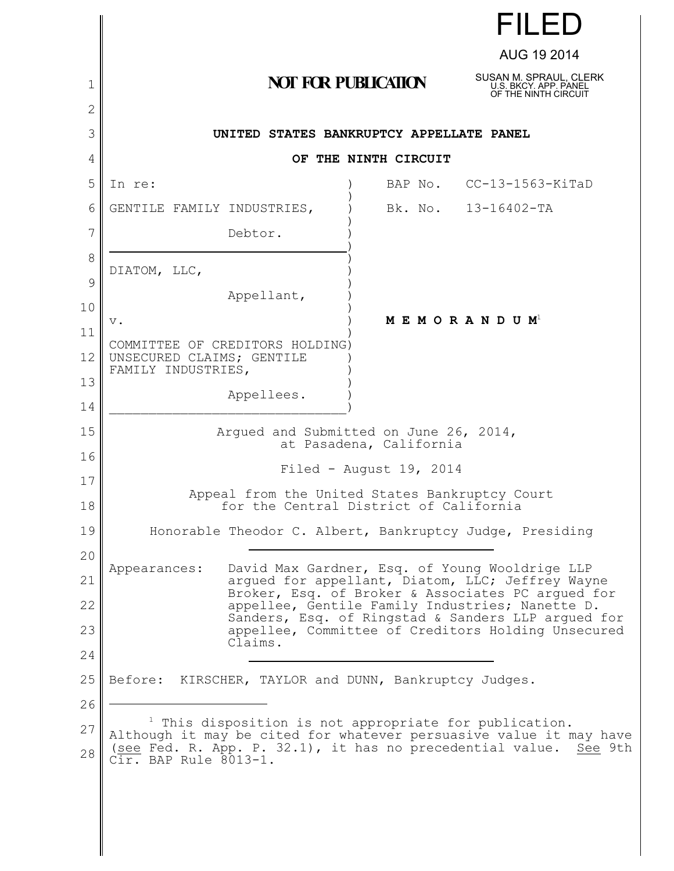|          |                                                                                                                                                          |                            | <b>FILED</b>                                                                                             |  |
|----------|----------------------------------------------------------------------------------------------------------------------------------------------------------|----------------------------|----------------------------------------------------------------------------------------------------------|--|
|          |                                                                                                                                                          |                            | AUG 19 2014                                                                                              |  |
| 1        |                                                                                                                                                          | <b>NOT FOR PUBLICATION</b> | SUSAN M. SPRAUL, CLERK<br>U.S. BKCY, APP. PANEL<br>OF THE NINTH CIRCUIT                                  |  |
| 2        |                                                                                                                                                          |                            |                                                                                                          |  |
| 3        | UNITED STATES BANKRUPTCY APPELLATE PANEL                                                                                                                 |                            |                                                                                                          |  |
| 4        |                                                                                                                                                          | OF THE NINTH CIRCUIT       |                                                                                                          |  |
| 5        | In re:                                                                                                                                                   |                            | BAP No. CC-13-1563-KiTaD                                                                                 |  |
| 6        | GENTILE FAMILY INDUSTRIES,                                                                                                                               |                            | Bk. No. 13-16402-TA                                                                                      |  |
| 7        | Debtor.                                                                                                                                                  |                            |                                                                                                          |  |
| 8<br>9   | DIATOM, LLC,                                                                                                                                             |                            |                                                                                                          |  |
| 10       | Appellant,                                                                                                                                               |                            |                                                                                                          |  |
| 11       | v.                                                                                                                                                       |                            | M E M O R A N D U M <sup>1</sup>                                                                         |  |
| 12       | COMMITTEE OF CREDITORS HOLDING)<br>UNSECURED CLAIMS; GENTILE                                                                                             |                            |                                                                                                          |  |
| 13       | FAMILY INDUSTRIES,                                                                                                                                       |                            |                                                                                                          |  |
| 14       | Appellees.                                                                                                                                               |                            |                                                                                                          |  |
| 15       | Argued and Submitted on June 26, 2014,<br>at Pasadena, California                                                                                        |                            |                                                                                                          |  |
| 16       |                                                                                                                                                          | Filed - August $19, 2014$  |                                                                                                          |  |
| 17<br>18 | Appeal from the United States Bankruptcy Court<br>for the Central District of California                                                                 |                            |                                                                                                          |  |
| 19       | Honorable Theodor C. Albert, Bankruptcy Judge, Presiding                                                                                                 |                            |                                                                                                          |  |
| 20       |                                                                                                                                                          |                            |                                                                                                          |  |
| 21       | Appearances:                                                                                                                                             |                            | David Max Gardner, Esq. of Young Wooldrige LLP<br>argued for appellant, Diatom, LLC; Jeffrey Wayne       |  |
| 22       |                                                                                                                                                          |                            | Broker, Esq. of Broker & Associates PC arqued for<br>appellee, Gentile Family Industries; Nanette D.     |  |
| 23       |                                                                                                                                                          |                            | Sanders, Esq. of Ringstad & Sanders LLP argued for<br>appellee, Committee of Creditors Holding Unsecured |  |
| 24       | Claims.                                                                                                                                                  |                            |                                                                                                          |  |
| 25       | KIRSCHER, TAYLOR and DUNN, Bankruptcy Judges.<br>Before:                                                                                                 |                            |                                                                                                          |  |
| 26       |                                                                                                                                                          |                            |                                                                                                          |  |
| 27       | <sup>1</sup> This disposition is not appropriate for publication.                                                                                        |                            |                                                                                                          |  |
| 28       | Although it may be cited for whatever persuasive value it may have<br>(see Fed. R. App. P. 32.1), it has no precedential value.<br>Cir. BAP Rule 8013-1. |                            | See 9th                                                                                                  |  |
|          |                                                                                                                                                          |                            |                                                                                                          |  |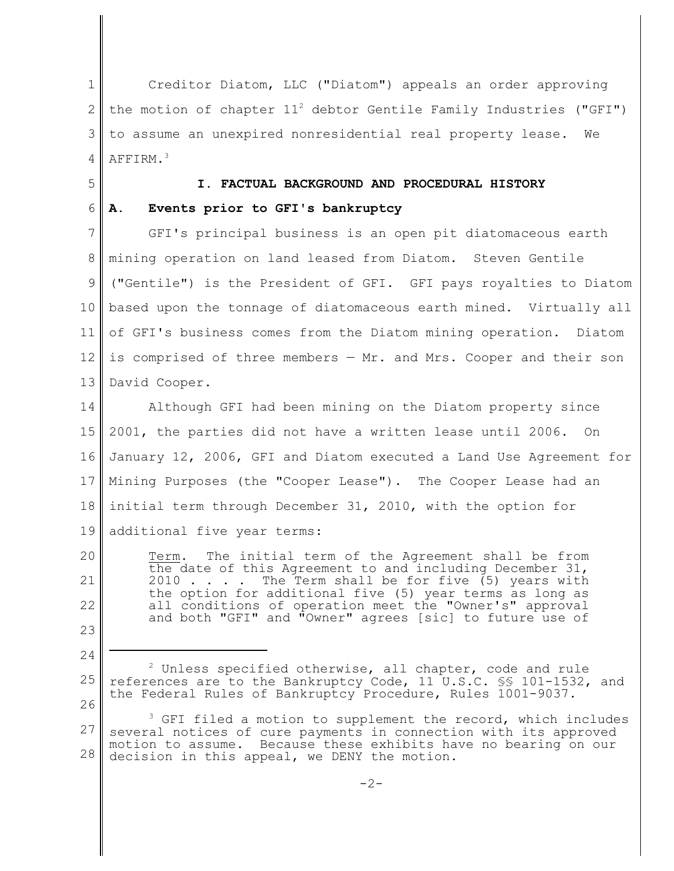1 2 3 4 Creditor Diatom, LLC ("Diatom") appeals an order approving the motion of chapter  $11^2$  debtor Gentile Family Industries ("GFI") to assume an unexpired nonresidential real property lease. We AFFIRM.<sup>3</sup>

5

6

24

## **I. FACTUAL BACKGROUND AND PROCEDURAL HISTORY**

## **A. Events prior to GFI's bankruptcy**

7 8 9 10 11 12 13 GFI's principal business is an open pit diatomaceous earth mining operation on land leased from Diatom. Steven Gentile ("Gentile") is the President of GFI. GFI pays royalties to Diatom based upon the tonnage of diatomaceous earth mined. Virtually all of GFI's business comes from the Diatom mining operation. Diatom is comprised of three members — Mr. and Mrs. Cooper and their son David Cooper.

14 15 16 17 18 19 Although GFI had been mining on the Diatom property since 2001, the parties did not have a written lease until 2006. On January 12, 2006, GFI and Diatom executed a Land Use Agreement for Mining Purposes (the "Cooper Lease"). The Cooper Lease had an initial term through December 31, 2010, with the option for additional five year terms:

20 21 22 23 Term. The initial term of the Agreement shall be from the date of this Agreement to and including December 31,  $2010 \ldots$ . The Term shall be for five (5) years with The Term shall be for five  $(5)$  years with the option for additional five (5) year terms as long as all conditions of operation meet the "Owner's" approval and both "GFI" and "Owner" agrees [sic] to future use of

25 26  $2$  Unless specified otherwise, all chapter, code and rule references are to the Bankruptcy Code, 11 U.S.C. §§ 101-1532, and the Federal Rules of Bankruptcy Procedure, Rules 1001-9037.

<sup>27</sup> 28  $3$  GFI filed a motion to supplement the record, which includes several notices of cure payments in connection with its approved motion to assume. Because these exhibits have no bearing on our decision in this appeal, we DENY the motion.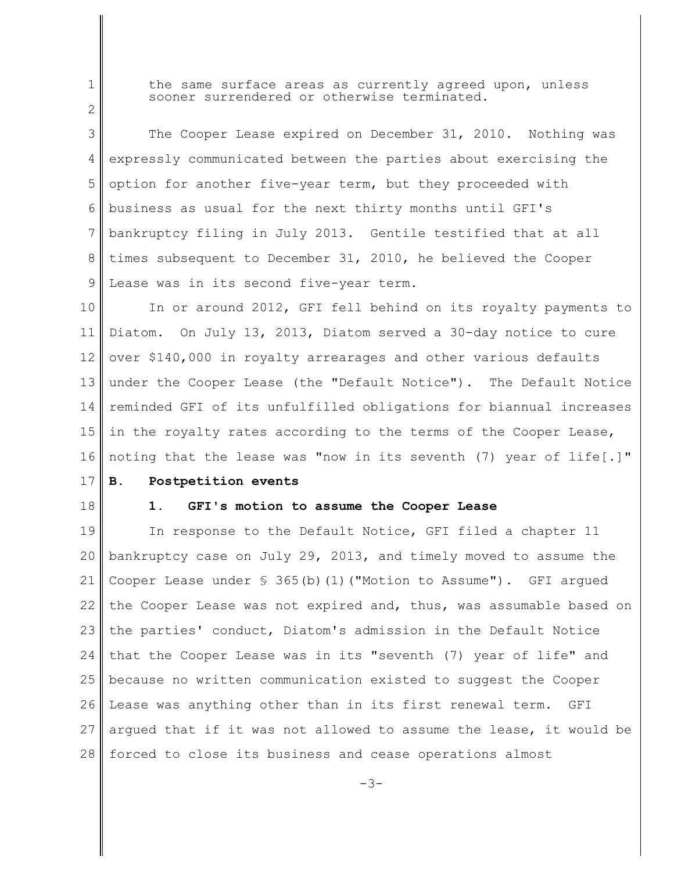2

1

the same surface areas as currently agreed upon, unless sooner surrendered or otherwise terminated.

3 4 5 6 7 8 9 The Cooper Lease expired on December 31, 2010. Nothing was expressly communicated between the parties about exercising the option for another five-year term, but they proceeded with business as usual for the next thirty months until GFI's bankruptcy filing in July 2013. Gentile testified that at all times subsequent to December 31, 2010, he believed the Cooper Lease was in its second five-year term.

10 11 12 13 14 15 16 In or around 2012, GFI fell behind on its royalty payments to Diatom. On July 13, 2013, Diatom served a 30-day notice to cure over \$140,000 in royalty arrearages and other various defaults under the Cooper Lease (the "Default Notice"). The Default Notice reminded GFI of its unfulfilled obligations for biannual increases in the royalty rates according to the terms of the Cooper Lease, noting that the lease was "now in its seventh (7) year of life[.]"

- 17 **B. Postpetition events**
- 18

## **1. GFI's motion to assume the Cooper Lease**

19 20 21 22 23 24 25 26 27 28 In response to the Default Notice, GFI filed a chapter 11 bankruptcy case on July 29, 2013, and timely moved to assume the Cooper Lease under  $\frac{1}{5}$  365(b)(1)("Motion to Assume"). GFI argued the Cooper Lease was not expired and, thus, was assumable based on the parties' conduct, Diatom's admission in the Default Notice that the Cooper Lease was in its "seventh (7) year of life" and because no written communication existed to suggest the Cooper Lease was anything other than in its first renewal term. GFI argued that if it was not allowed to assume the lease, it would be forced to close its business and cease operations almost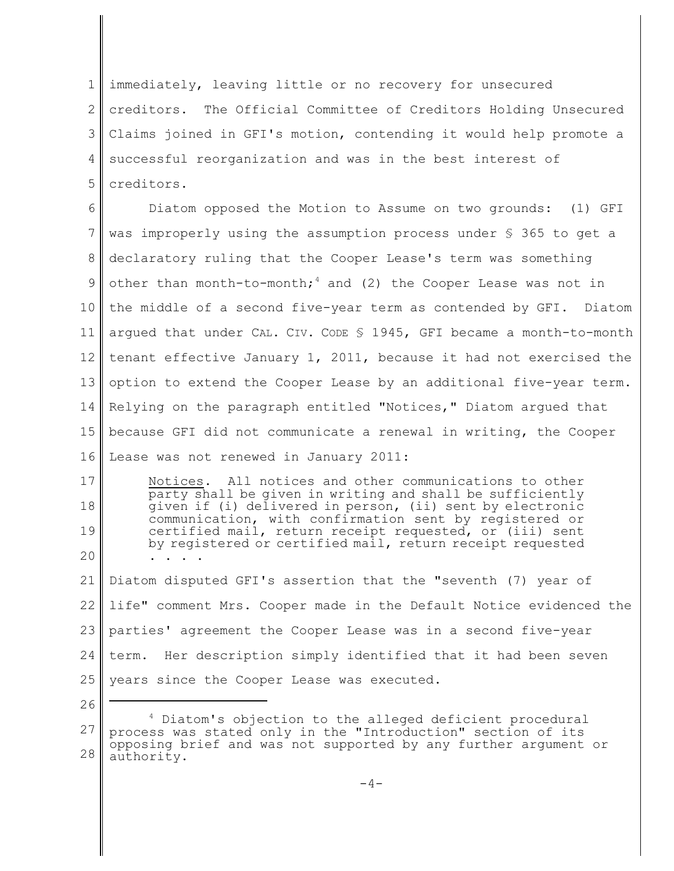1 2 3 4 5 immediately, leaving little or no recovery for unsecured creditors. The Official Committee of Creditors Holding Unsecured Claims joined in GFI's motion, contending it would help promote a successful reorganization and was in the best interest of creditors.

6 7 8 9 10 11 12 13 14 15 16 Diatom opposed the Motion to Assume on two grounds: (1) GFI was improperly using the assumption process under § 365 to get a declaratory ruling that the Cooper Lease's term was something other than month-to-month;<sup>4</sup> and (2) the Cooper Lease was not in the middle of a second five-year term as contended by GFI. Diatom argued that under CAL. CIV. CODE § 1945, GFI became a month-to-month tenant effective January 1, 2011, because it had not exercised the option to extend the Cooper Lease by an additional five-year term. Relying on the paragraph entitled "Notices," Diatom argued that because GFI did not communicate a renewal in writing, the Cooper Lease was not renewed in January 2011:

17 18 19 20 Notices. All notices and other communications to other party shall be given in writing and shall be sufficiently given if (i) delivered in person, (ii) sent by electronic communication, with confirmation sent by registered or certified mail, return receipt requested, or (iii) sent by registered or certified mail, return receipt requested . . . .

21 22 23 24 25 Diatom disputed GFI's assertion that the "seventh (7) year of life" comment Mrs. Cooper made in the Default Notice evidenced the parties' agreement the Cooper Lease was in a second five-year term. Her description simply identified that it had been seven years since the Cooper Lease was executed.

26

<sup>27</sup> 28 <sup>4</sup> Diatom's objection to the alleged deficient procedural process was stated only in the "Introduction" section of its opposing brief and was not supported by any further argument or authority.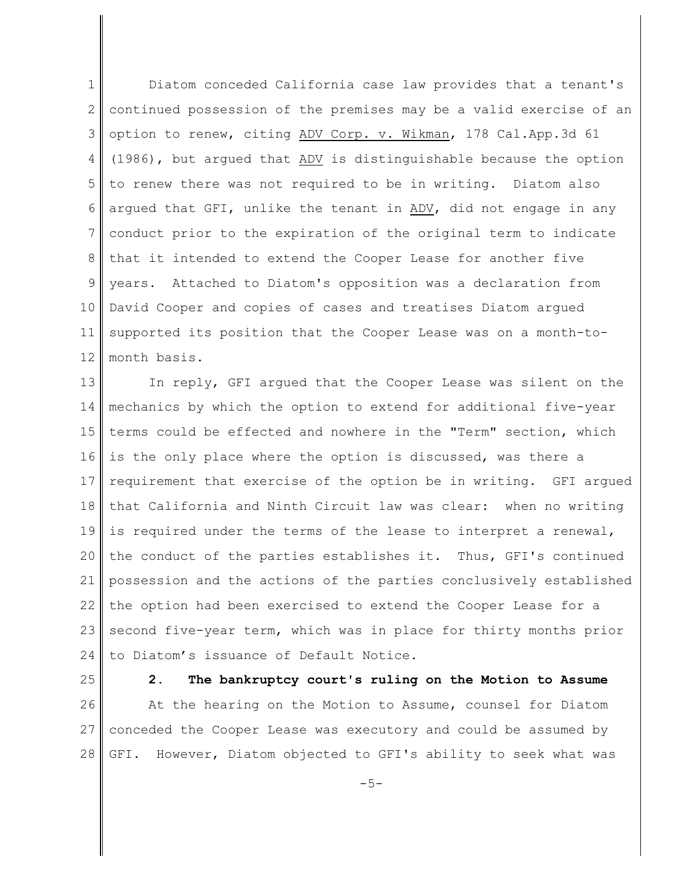1 2 3 4 5 6 7 8 9 10 11 12 Diatom conceded California case law provides that a tenant's continued possession of the premises may be a valid exercise of an option to renew, citing ADV Corp. v. Wikman, 178 Cal.App.3d 61 (1986), but argued that ADV is distinguishable because the option to renew there was not required to be in writing. Diatom also argued that GFI, unlike the tenant in ADV, did not engage in any conduct prior to the expiration of the original term to indicate that it intended to extend the Cooper Lease for another five years. Attached to Diatom's opposition was a declaration from David Cooper and copies of cases and treatises Diatom argued supported its position that the Cooper Lease was on a month-tomonth basis.

13 14 15 16 17 18 19 20 21 22 23 24 In reply, GFI argued that the Cooper Lease was silent on the mechanics by which the option to extend for additional five-year terms could be effected and nowhere in the "Term" section, which is the only place where the option is discussed, was there a requirement that exercise of the option be in writing. GFI argued that California and Ninth Circuit law was clear: when no writing is required under the terms of the lease to interpret a renewal, the conduct of the parties establishes it. Thus, GFI's continued possession and the actions of the parties conclusively established the option had been exercised to extend the Cooper Lease for a second five-year term, which was in place for thirty months prior to Diatom's issuance of Default Notice.

- 25 26 27 28 **2. The bankruptcy court's ruling on the Motion to Assume** At the hearing on the Motion to Assume, counsel for Diatom conceded the Cooper Lease was executory and could be assumed by GFI. However, Diatom objected to GFI's ability to seek what was
	- $-5-$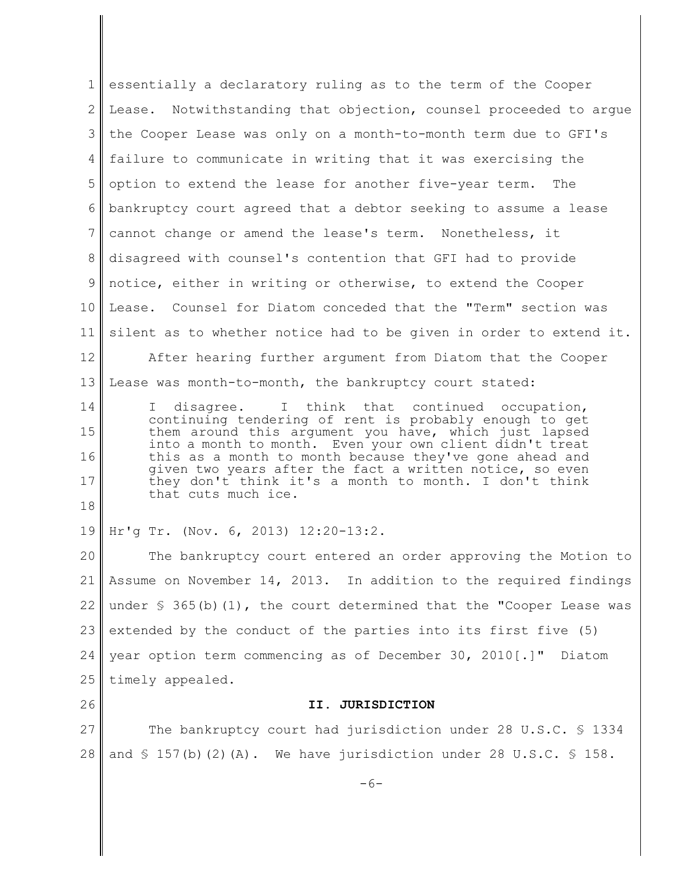1 2 3 4 5 6 7 8 9 10 11 12 essentially a declaratory ruling as to the term of the Cooper Lease. Notwithstanding that objection, counsel proceeded to argue the Cooper Lease was only on a month-to-month term due to GFI's failure to communicate in writing that it was exercising the option to extend the lease for another five-year term. The bankruptcy court agreed that a debtor seeking to assume a lease cannot change or amend the lease's term. Nonetheless, it disagreed with counsel's contention that GFI had to provide notice, either in writing or otherwise, to extend the Cooper Lease. Counsel for Diatom conceded that the "Term" section was silent as to whether notice had to be given in order to extend it. After hearing further argument from Diatom that the Cooper

13 Lease was month-to-month, the bankruptcy court stated:

14 15 16 17 18 I disagree. I think that continued occupation, continuing tendering of rent is probably enough to get them around this argument you have, which just lapsed into a month to month. Even your own client didn't treat this as a month to month because they've gone ahead and given two years after the fact a written notice, so even they don't think it's a month to month. I don't think that cuts much ice.

19 Hr'g Tr. (Nov. 6, 2013) 12:20-13:2.

26

20 21 22 23 24 25 The bankruptcy court entered an order approving the Motion to Assume on November 14, 2013. In addition to the required findings under  $\frac{1}{2}$  365(b)(1), the court determined that the "Cooper Lease was extended by the conduct of the parties into its first five (5) year option term commencing as of December 30, 2010[.]" Diatom timely appealed.

## **II. JURISDICTION**

27 28 The bankruptcy court had jurisdiction under 28 U.S.C. § 1334 and  $\S$  157(b)(2)(A). We have jurisdiction under 28 U.S.C.  $\S$  158.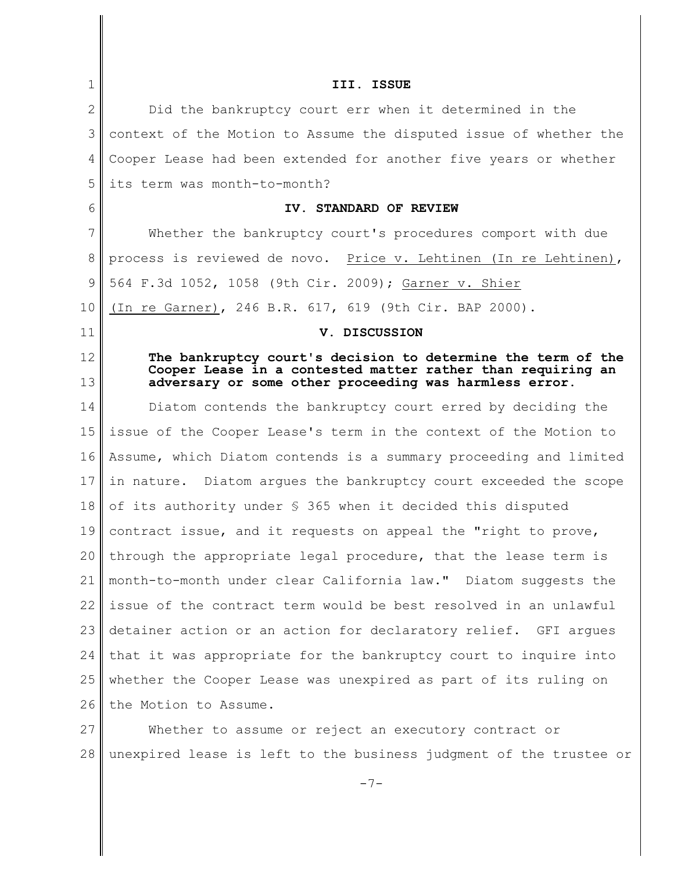| 1  | III. ISSUE                                                                                                            |  |  |
|----|-----------------------------------------------------------------------------------------------------------------------|--|--|
| 2  | Did the bankruptcy court err when it determined in the                                                                |  |  |
| 3  | context of the Motion to Assume the disputed issue of whether the                                                     |  |  |
| 4  | Cooper Lease had been extended for another five years or whether                                                      |  |  |
| 5  | its term was month-to-month?                                                                                          |  |  |
| 6  | IV. STANDARD OF REVIEW                                                                                                |  |  |
| 7  | Whether the bankruptcy court's procedures comport with due                                                            |  |  |
| 8  | process is reviewed de novo. Price v. Lehtinen (In re Lehtinen),                                                      |  |  |
| 9  | 564 F.3d 1052, 1058 (9th Cir. 2009); Garner v. Shier                                                                  |  |  |
| 10 | (In re Garner), 246 B.R. 617, 619 (9th Cir. BAP 2000).                                                                |  |  |
| 11 | V. DISCUSSION                                                                                                         |  |  |
| 12 | The bankruptcy court's decision to determine the term of the                                                          |  |  |
| 13 | Cooper Lease in a contested matter rather than requiring an<br>adversary or some other proceeding was harmless error. |  |  |
| 14 | Diatom contends the bankruptcy court erred by deciding the                                                            |  |  |
| 15 | issue of the Cooper Lease's term in the context of the Motion to                                                      |  |  |
| 16 | Assume, which Diatom contends is a summary proceeding and limited                                                     |  |  |
| 17 | in nature. Diatom arques the bankruptcy court exceeded the scope                                                      |  |  |
| 18 | of its authority under $\frac{1}{5}$ 365 when it decided this disputed                                                |  |  |
| 19 | contract issue, and it requests on appeal the "right to prove,                                                        |  |  |
| 20 | through the appropriate legal procedure, that the lease term is                                                       |  |  |
| 21 | month-to-month under clear California law." Diatom suggests the                                                       |  |  |
| 22 | issue of the contract term would be best resolved in an unlawful                                                      |  |  |
| 23 | detainer action or an action for declaratory relief. GFI argues                                                       |  |  |
| 24 | that it was appropriate for the bankruptcy court to inquire into                                                      |  |  |
| 25 | whether the Cooper Lease was unexpired as part of its ruling on                                                       |  |  |
| 26 | the Motion to Assume.                                                                                                 |  |  |
| 27 | Whether to assume or reject an executory contract or                                                                  |  |  |
|    |                                                                                                                       |  |  |

-7-

28 unexpired lease is left to the business judgment of the trustee or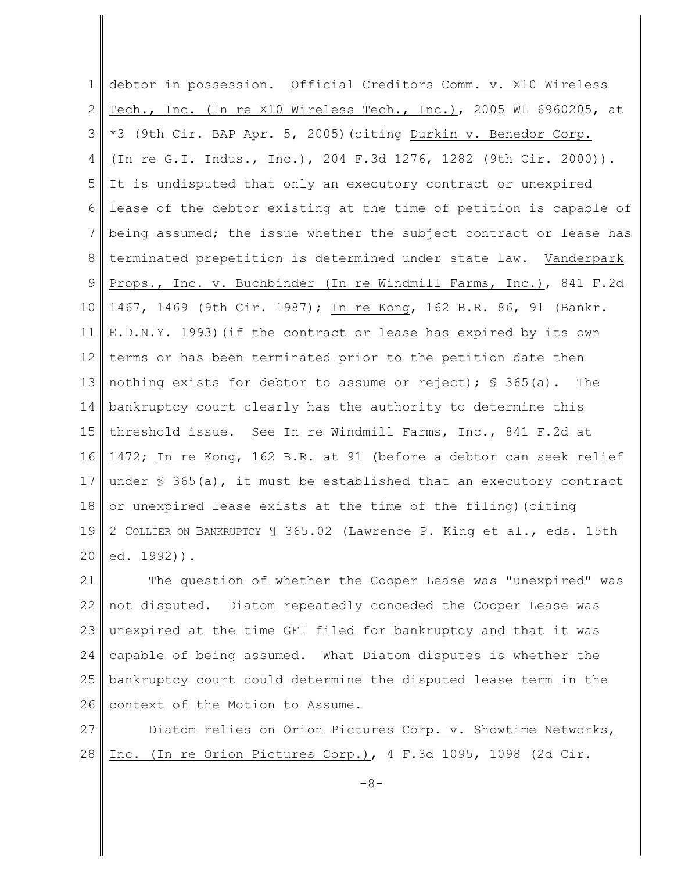1 2 3 4 5 6 7 8 9 10 11 12 13 14 15 16 17 18 19 20 debtor in possession. Official Creditors Comm. v. X10 Wireless Tech., Inc. (In re X10 Wireless Tech., Inc.), 2005 WL 6960205, at \*3 (9th Cir. BAP Apr. 5, 2005)(citing Durkin v. Benedor Corp. (In re G.I. Indus., Inc.), 204 F.3d 1276, 1282 (9th Cir. 2000)). It is undisputed that only an executory contract or unexpired lease of the debtor existing at the time of petition is capable of being assumed; the issue whether the subject contract or lease has terminated prepetition is determined under state law. Vanderpark Props., Inc. v. Buchbinder (In re Windmill Farms, Inc.), 841 F.2d 1467, 1469 (9th Cir. 1987); In re Kong, 162 B.R. 86, 91 (Bankr. E.D.N.Y. 1993)(if the contract or lease has expired by its own terms or has been terminated prior to the petition date then nothing exists for debtor to assume or reject);  $\frac{1}{5}$  365(a). The bankruptcy court clearly has the authority to determine this threshold issue. See In re Windmill Farms, Inc., 841 F.2d at 1472; In re Kong, 162 B.R. at 91 (before a debtor can seek relief under  $\frac{1}{5}$  365(a), it must be established that an executory contract or unexpired lease exists at the time of the filing)(citing 2 COLLIER ON BANKRUPTCY ¶ 365.02 (Lawrence P. King et al., eds. 15th ed. 1992)).

21 22 23 24 25 26 The question of whether the Cooper Lease was "unexpired" was not disputed. Diatom repeatedly conceded the Cooper Lease was unexpired at the time GFI filed for bankruptcy and that it was capable of being assumed. What Diatom disputes is whether the bankruptcy court could determine the disputed lease term in the context of the Motion to Assume.

27 28 Diatom relies on Orion Pictures Corp. v. Showtime Networks, Inc. (In re Orion Pictures Corp.), 4 F.3d 1095, 1098 (2d Cir.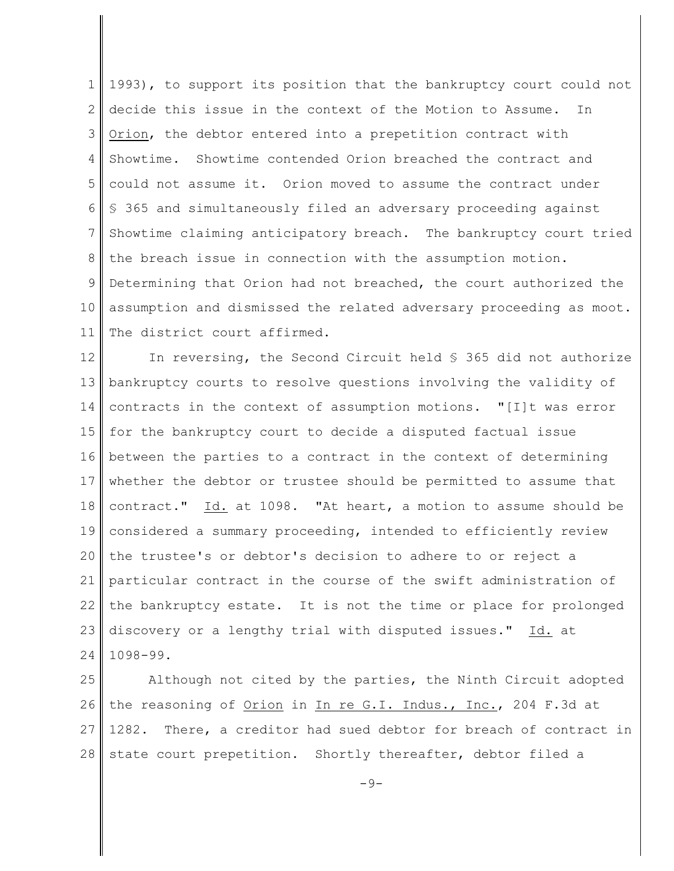1 2 3 4 5 6 7 8 9 10 11 1993), to support its position that the bankruptcy court could not decide this issue in the context of the Motion to Assume. In Orion, the debtor entered into a prepetition contract with Showtime. Showtime contended Orion breached the contract and could not assume it. Orion moved to assume the contract under § 365 and simultaneously filed an adversary proceeding against Showtime claiming anticipatory breach. The bankruptcy court tried the breach issue in connection with the assumption motion. Determining that Orion had not breached, the court authorized the assumption and dismissed the related adversary proceeding as moot. The district court affirmed.

12 13 14 15 16 17 18 19 20 21 22 23 24 In reversing, the Second Circuit held § 365 did not authorize bankruptcy courts to resolve questions involving the validity of contracts in the context of assumption motions. "[I]t was error for the bankruptcy court to decide a disputed factual issue between the parties to a contract in the context of determining whether the debtor or trustee should be permitted to assume that contract." Id. at 1098. "At heart, a motion to assume should be considered a summary proceeding, intended to efficiently review the trustee's or debtor's decision to adhere to or reject a particular contract in the course of the swift administration of the bankruptcy estate. It is not the time or place for prolonged discovery or a lengthy trial with disputed issues." Id. at 1098-99.

25 26 27 28 Although not cited by the parties, the Ninth Circuit adopted the reasoning of Orion in In re G.I. Indus., Inc., 204 F.3d at 1282. There, a creditor had sued debtor for breach of contract in state court prepetition. Shortly thereafter, debtor filed a

 $-9-$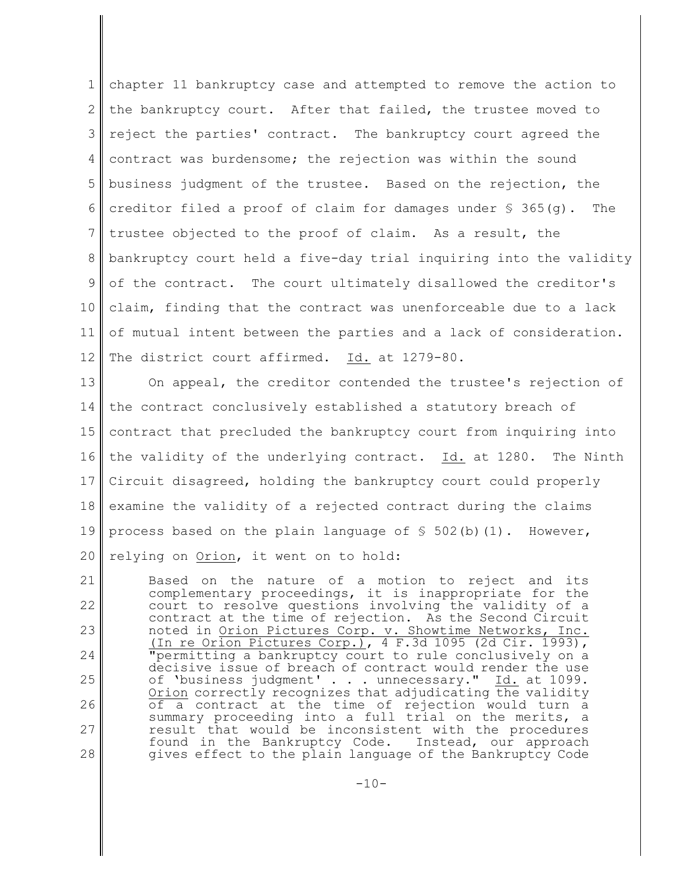1 2 3 4 5 6 7 8 9 10 11 12 chapter 11 bankruptcy case and attempted to remove the action to the bankruptcy court. After that failed, the trustee moved to reject the parties' contract. The bankruptcy court agreed the contract was burdensome; the rejection was within the sound business judgment of the trustee. Based on the rejection, the creditor filed a proof of claim for damages under § 365(g). The trustee objected to the proof of claim. As a result, the bankruptcy court held a five-day trial inquiring into the validity of the contract. The court ultimately disallowed the creditor's claim, finding that the contract was unenforceable due to a lack of mutual intent between the parties and a lack of consideration. The district court affirmed. Id. at 1279-80.

13 14 15 16 17 18 19 20 On appeal, the creditor contended the trustee's rejection of the contract conclusively established a statutory breach of contract that precluded the bankruptcy court from inquiring into the validity of the underlying contract. Id. at 1280. The Ninth Circuit disagreed, holding the bankruptcy court could properly examine the validity of a rejected contract during the claims process based on the plain language of  $\frac{1}{5}$  502(b)(1). However, relying on Orion, it went on to hold:

21 22 23 24 25 26 27 28 Based on the nature of a motion to reject and its complementary proceedings, it is inappropriate for the court to resolve questions involving the validity of a contract at the time of rejection. As the Second Circuit noted in Orion Pictures Corp. v. Showtime Networks, Inc. (In re Orion Pictures Corp.), 4 F.3d 1095 (2d Cir. 1993), "permitting a bankruptcy court to rule conclusively on a decisive issue of breach of contract would render the use of 'business judgment' . . . unnecessary." Id. at 1099. Orion correctly recognizes that adjudicating the validity of a contract at the time of rejection would turn a summary proceeding into a full trial on the merits, a result that would be inconsistent with the procedures found in the Bankruptcy Code. Instead, our approach gives effect to the plain language of the Bankruptcy Code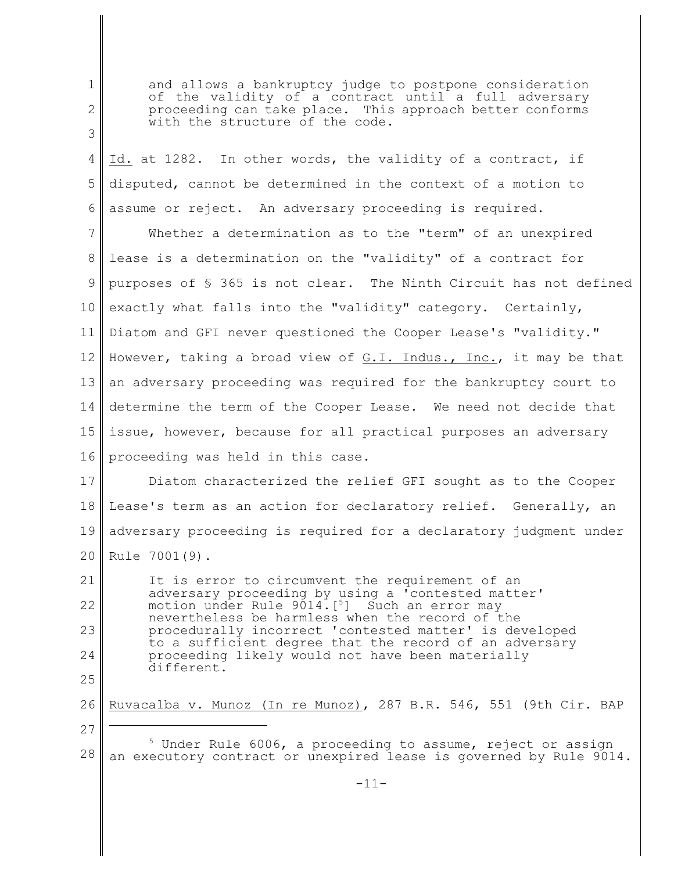2 3 4 5 6 7 8 9 10 11 12 13 14 15 16 of the validity of a contract until a full adversary proceeding can take place. This approach better conforms with the structure of the code. Id. at 1282. In other words, the validity of a contract, if disputed, cannot be determined in the context of a motion to assume or reject. An adversary proceeding is required. Whether a determination as to the "term" of an unexpired lease is a determination on the "validity" of a contract for purposes of § 365 is not clear. The Ninth Circuit has not defined exactly what falls into the "validity" category. Certainly, Diatom and GFI never questioned the Cooper Lease's "validity." However, taking a broad view of G.I. Indus., Inc., it may be that an adversary proceeding was required for the bankruptcy court to determine the term of the Cooper Lease. We need not decide that issue, however, because for all practical purposes an adversary proceeding was held in this case.

and allows a bankruptcy judge to postpone consideration

1

27

17 18 19 20 Diatom characterized the relief GFI sought as to the Cooper Lease's term as an action for declaratory relief. Generally, an adversary proceeding is required for a declaratory judgment under Rule 7001(9).

21 22 23 24 25 It is error to circumvent the requirement of an adversary proceeding by using a 'contested matter' motion under Rule 9014.<sup>[5]</sup> Such an error may nevertheless be harmless when the record of the procedurally incorrect 'contested matter' is developed to a sufficient degree that the record of an adversary proceeding likely would not have been materially different.

26 Ruvacalba v. Munoz (In re Munoz), 287 B.R. 546, 551 (9th Cir. BAP

28 <sup>5</sup> Under Rule 6006, a proceeding to assume, reject or assign an executory contract or unexpired lease is governed by Rule 9014.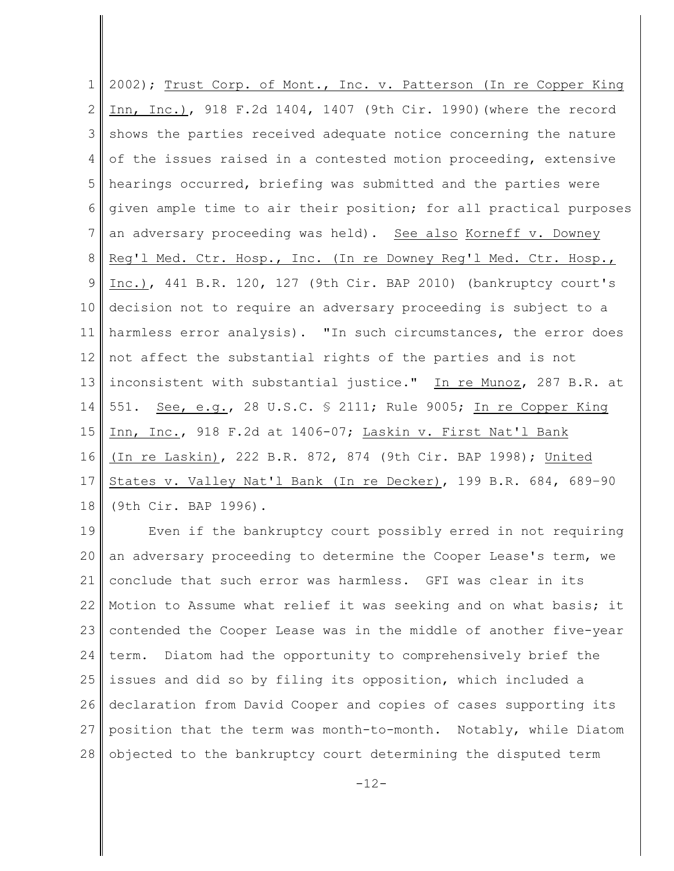1 2 3 4 5 6 7 8 9 10 11 12 13 14 15 16 17 18 2002); Trust Corp. of Mont., Inc. v. Patterson (In re Copper King Inn, Inc.), 918 F.2d 1404, 1407 (9th Cir. 1990)(where the record shows the parties received adequate notice concerning the nature of the issues raised in a contested motion proceeding, extensive hearings occurred, briefing was submitted and the parties were given ample time to air their position; for all practical purposes an adversary proceeding was held). See also Korneff v. Downey Reg'l Med. Ctr. Hosp., Inc. (In re Downey Reg'l Med. Ctr. Hosp., Inc.), 441 B.R. 120, 127 (9th Cir. BAP 2010) (bankruptcy court's decision not to require an adversary proceeding is subject to a harmless error analysis). "In such circumstances, the error does not affect the substantial rights of the parties and is not inconsistent with substantial justice." In re Munoz, 287 B.R. at 551. See, e.g., 28 U.S.C. § 2111; Rule 9005; In re Copper King Inn, Inc., 918 F.2d at 1406-07; Laskin v. First Nat'l Bank (In re Laskin), 222 B.R. 872, 874 (9th Cir. BAP 1998); United States v. Valley Nat'l Bank (In re Decker), 199 B.R. 684, 689–90 (9th Cir. BAP 1996).

19 20 21 22 23 24 25 26 27 28 Even if the bankruptcy court possibly erred in not requiring an adversary proceeding to determine the Cooper Lease's term, we conclude that such error was harmless. GFI was clear in its Motion to Assume what relief it was seeking and on what basis; it contended the Cooper Lease was in the middle of another five-year term. Diatom had the opportunity to comprehensively brief the issues and did so by filing its opposition, which included a declaration from David Cooper and copies of cases supporting its position that the term was month-to-month. Notably, while Diatom objected to the bankruptcy court determining the disputed term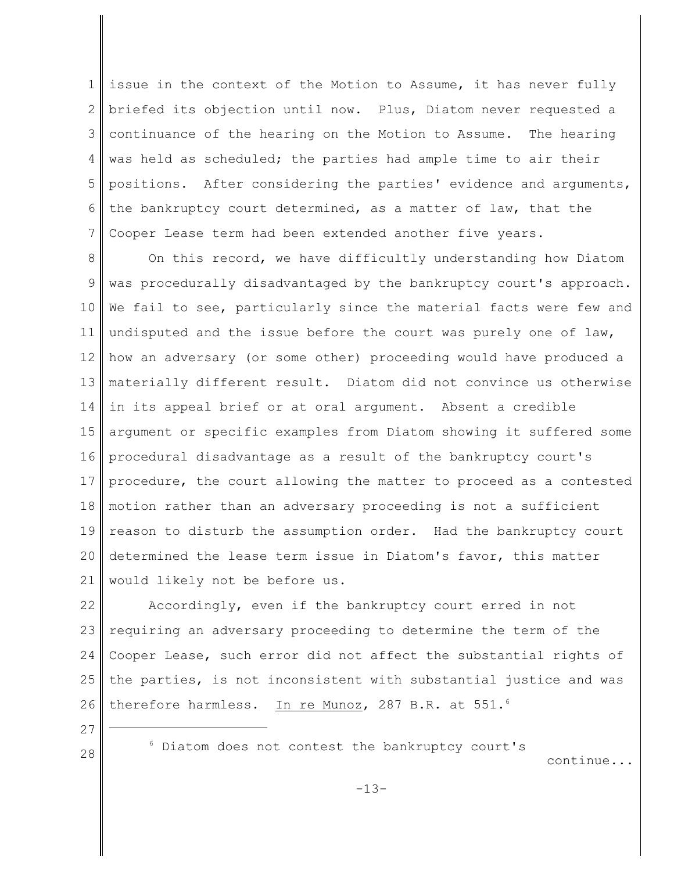1 2 3 4 5 6 7 issue in the context of the Motion to Assume, it has never fully briefed its objection until now. Plus, Diatom never requested a continuance of the hearing on the Motion to Assume. The hearing was held as scheduled; the parties had ample time to air their positions. After considering the parties' evidence and arguments, the bankruptcy court determined, as a matter of law, that the Cooper Lease term had been extended another five years.

8 9 10 11 12 13 14 15 16 17 18 19 20 21 On this record, we have difficultly understanding how Diatom was procedurally disadvantaged by the bankruptcy court's approach. We fail to see, particularly since the material facts were few and undisputed and the issue before the court was purely one of law, how an adversary (or some other) proceeding would have produced a materially different result. Diatom did not convince us otherwise in its appeal brief or at oral argument. Absent a credible argument or specific examples from Diatom showing it suffered some procedural disadvantage as a result of the bankruptcy court's procedure, the court allowing the matter to proceed as a contested motion rather than an adversary proceeding is not a sufficient reason to disturb the assumption order. Had the bankruptcy court determined the lease term issue in Diatom's favor, this matter would likely not be before us.

22 23 24 25 26 Accordingly, even if the bankruptcy court erred in not requiring an adversary proceeding to determine the term of the Cooper Lease, such error did not affect the substantial rights of the parties, is not inconsistent with substantial justice and was therefore harmless. In re Munoz, 287 B.R. at 551.<sup>6</sup>

27 28

<sup>6</sup> Diatom does not contest the bankruptcy court's

continue...